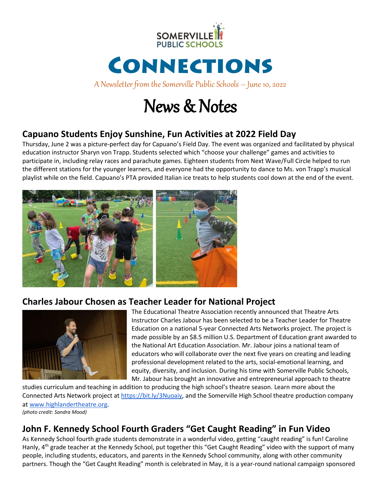

# CONNECTIONS

A Newsletter from the Somerville Public Schools – June 10, 2022

## News & Notes

## **Capuano Students Enjoy Sunshine, Fun Activities at 2022 Field Day**

Thursday, June 2 was a picture-perfect day for Capuano's Field Day. The event was organized and facilitated by physical education instructor Sharyn von Trapp. Students selected which "choose your challenge" games and activities to participate in, including relay races and parachute games. Eighteen students from Next Wave/Full Circle helped to run the different stations for the younger learners, and everyone had the opportunity to dance to Ms. von Trapp's musical playlist while on the field. Capuano's PTA provided Italian ice treats to help students cool down at the end of the event.



### **Charles Jabour Chosen as Teacher Leader for National Project**



The Educational Theatre Association recently announced that Theatre Arts Instructor Charles Jabour has been selected to be a Teacher Leader for Theatre Education on a national 5-year Connected Arts Networks project. The project is made possible by an \$8.5 million U.S. Department of Education grant awarded to the National Art Education Association. Mr. Jabour joins a national team of educators who will collaborate over the next five years on creating and leading professional development related to the arts, social-emotional learning, and equity, diversity, and inclusion. During his time with Somerville Public Schools, Mr. Jabour has brought an innovative and entrepreneurial approach to theatre

studies curriculum and teaching in addition to producing the high school's theatre season. Learn more about the Connected Arts Network project a[t https://bit.ly/3Nuoaiy,](https://bit.ly/3Nuoaiy) and the Somerville High School theatre production company at [www.highlandertheatre.org](http://www.highlandertheatre.org/). *(photo credit: Sandra Mood)*

## **John F. Kennedy School Fourth Graders "Get Caught Reading" in Fun Video**

As Kennedy School fourth grade students demonstrate in a wonderful video, getting "caught reading" is fun! Caroline Hanly, 4<sup>th</sup> grade teacher at the Kennedy School, put together this "Get Caught Reading" video with the support of many people, including students, educators, and parents in the Kennedy School community, along with other community partners. Though the "Get Caught Reading" month is celebrated in May, it is a year-round national campaign sponsored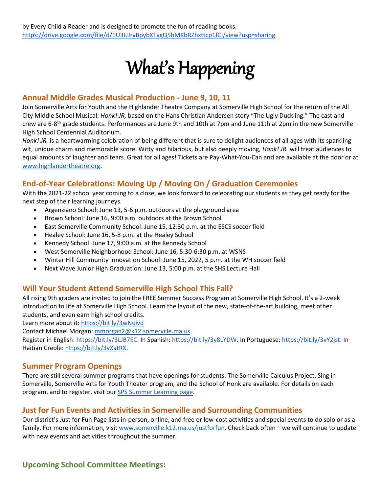# What's Happening

#### **Annual Middle Grades Musical Production - June 9, 10, 11**

Join Somerville Arts for Youth and the Highlander Theatre Company at Somerville High School for the return of the All City Middle School Musical: *Honk! JR,* based on the Hans Christian Andersen story "The Ugly Duckling." The cast and crew are 6-8<sup>th</sup> grade students. Performances are June 9th and 10th at 7pm and June 11th at 2pm in the new Somerville High School Centennial Auditorium*.*

*Honk! JR.* is a heartwarming celebration of being different that is sure to delight audiences of all ages with its sparkling wit, unique charm and memorable score. Witty and hilarious, but also deeply moving, *Honk! JR.* will treat audiences to equal amounts of laughter and tears. Great for all ages! Tickets are Pay-What-You-Can and are available at the door or at [www.highlandertheatre.org.](http://www.highlandertheatre.org/)

#### **End-of-Year Celebrations: Moving Up / Moving On / Graduation Ceremonies**

With the 2021-22 school year coming to a close, we look forward to celebrating our students as they get ready for the next step of their learning journeys.

- Argenziano School: June 13, 5-6 p.m. outdoors at the playground area
- Brown School: June 16, 9:00 a.m. outdoors at the Brown School
- East Somerville Community School: June 15, 12:30 p.m. at the ESCS soccer field
- Healey School: June 16, 5-8 p.m. at the Healey School
- Kennedy School: June 17, 9:00 a.m. at the Kennedy School
- West Somerville Neighborhood School: June 16, 5:30-6:30 p.m. at WSNS
- Winter Hill Community Innovation School: June 15, 2022, 5 p.m. at the WH soccer field
- Next Wave Junior High Graduation: June 13, 5:00 p.m. at the SHS Lecture Hall

#### **Will Your Student Attend Somerville High School This Fall?**

All rising 9th graders are invited to join the FREE Summer Success Program at Somerville High School. It's a 2-week introduction to life at Somerville High School. Learn the layout of the new, state-of-the-art building, meet other students, and even earn high school credits.

Learn more about it:<https://bit.ly/3wNuivd>

Contact Michael Morgan: [mmorgan2@k12.somerville.ma.us](mailto:mmorgan2@k12.somerville.ma.us)

Register in English: [https://bit.ly/3LJB7EC.](https://bit.ly/3LJB7EC) In Spanish: [https://bit.ly/3y8LYDW.](https://bit.ly/3y8LYDW) In Portuguese: [https://bit.ly/3vY2jst.](https://bit.ly/3vY2jst) In Haitian Creole: [https://bit.ly/3vXatRX.](https://bit.ly/3vXatRX)

#### **Summer Program Openings**

There are still several summer programs that have openings for students. The Somerville Calculus Project, Sing in Somerville, Somerville Arts for Youth Theater program, and the School of Honk are available. For details on each program, and to register, visit our **SPS Summer Learning page**.

#### **Just for Fun Events and Activities in Somerville and Surrounding Communities**

Our district's Just for Fun Page lists in-person, online, and free or low-cost activities and special events to do solo or as a family. For more information, visit [www.somerville.k12.ma.us/justforfun.](http://www.somerville.k12.ma.us/justforfun) Check back often – we will continue to update with new events and activities throughout the summer.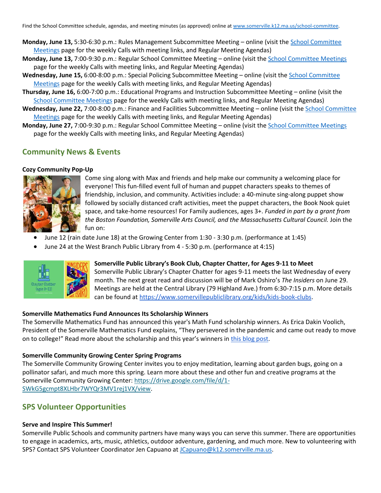Find the School Committee schedule, agendas, and meeting minutes (as approved) online at [www.somerville.k12.ma.us/school-committee.](http://www.somerville.k12.ma.us/school-committee)

- **Monday, June 13,** 5:30-6:30 p.m.: Rules Management Subcommittee Meeting online (visit th[e School Committee](https://somerville.k12.ma.us/district-leadership/somerville-school-committee/school-committee-meetings)  [Meetings](https://somerville.k12.ma.us/district-leadership/somerville-school-committee/school-committee-meetings) page for the weekly Calls with meeting links, and Regular Meeting Agendas)
- **Monday, June 13,** 7:00-9:30 p.m.: Regular School Committee Meeting online (visit th[e School Committee Meetings](https://somerville.k12.ma.us/district-leadership/somerville-school-committee/school-committee-meetings) page for the weekly Calls with meeting links, and Regular Meeting Agendas)
- Wednesday, June 15, 6:00-8:00 p.m.: Special Policing Subcommittee Meeting online (visit the School Committee [Meetings](https://somerville.k12.ma.us/district-leadership/somerville-school-committee/school-committee-meetings) page for the weekly Calls with meeting links, and Regular Meeting Agendas)
- **Thursday, June 16,** 6:00-7:00 p.m.: Educational Programs and Instruction Subcommittee Meeting online (visit the [School Committee Meetings](https://somerville.k12.ma.us/district-leadership/somerville-school-committee/school-committee-meetings) page for the weekly Calls with meeting links, and Regular Meeting Agendas)
- **Wednesday, June 22,** 7:00-8:00 p.m.: Finance and Facilities Subcommittee Meeting online (visit th[e School Committee](https://somerville.k12.ma.us/district-leadership/somerville-school-committee/school-committee-meetings)  [Meetings](https://somerville.k12.ma.us/district-leadership/somerville-school-committee/school-committee-meetings) page for the weekly Calls with meeting links, and Regular Meeting Agendas)
- **Monday, June 27,** 7:00-9:30 p.m.: Regular School Committee Meeting online (visit th[e School Committee Meetings](https://somerville.k12.ma.us/district-leadership/somerville-school-committee/school-committee-meetings) page for the weekly Calls with meeting links, and Regular Meeting Agendas)

#### **Community News & Events**

#### **Cozy Community Pop-Up**



Come sing along with Max and friends and help make our community a welcoming place for everyone! This fun-filled event full of human and puppet characters speaks to themes of friendship, inclusion, and community. Activities include: a 40-minute sing-along puppet show followed by socially distanced craft activities, meet the puppet characters, the Book Nook quiet space, and take-home resources! For Family audiences, ages 3+. *Funded in part by a grant from the Boston Foundation, Somerville Arts Council, and the Massachusetts Cultural Council.* Join the fun on:

- June 12 (rain date June 18) at the Growing Center from 1:30 3:30 p.m. (performance at 1:45)
- June 24 at the West Branch Public Library from 4 5:30 p.m. (performance at 4:15)



#### **Somerville Public Library's Book Club, Chapter Chatter, for Ages 9-11 to Meet**

Somerville Public Library's Chapter Chatter for ages 9-11 meets the last Wednesday of every month. The next great read and discussion will be of Mark Oshiro's *The Insiders* on June 29. Meetings are held at the Central Library (79 Highland Ave.) from 6:30-7:15 p.m. More details can be found at [https://www.somervillepubliclibrary.org/kids/kids-book-clubs.](https://www.somervillepubliclibrary.org/kids/kids-book-clubs)

#### **Somerville Mathematics Fund Announces Its Scholarship Winners**

The Somerville Mathematics Fund has announced this year's Math Fund scholarship winners. As Erica Dakin Voolich, President of the Somerville Mathematics Fund explains, "They persevered in the pandemic and came out ready to move on to college!" Read more about the scholarship and this year's winners in [this blog post.](https://somervillemathematics.blogspot.com/2022/06/outstanding-math-students-win.html)

#### **Somerville Community Growing Center Spring Programs**

The Somerville Community Growing Center invites you to enjoy meditation, learning about garden bugs, going on a pollinator safari, and much more this spring. Learn more about these and other fun and creative programs at the Somerville Community Growing Center: [https://drive.google.com/file/d/1-](https://drive.google.com/file/d/1-SWkG5gcmpt8XLHbr7WYQr3MV1rej1VX/view) [SWkG5gcmpt8XLHbr7WYQr3MV1rej1VX/view.](https://drive.google.com/file/d/1-SWkG5gcmpt8XLHbr7WYQr3MV1rej1VX/view)

#### **SPS Volunteer Opportunities**

#### **Serve and Inspire This Summer!**

Somerville Public Schools and community partners have many ways you can serve this summer. There are opportunities to engage in academics, arts, music, athletics, outdoor adventure, gardening, and much more. New to volunteering with SPS? Contact SPS Volunteer Coordinator Jen Capuano at [JCapuano@k12.somerville.ma.us.](mailto:JCapuano@k12.somerville.ma.us)